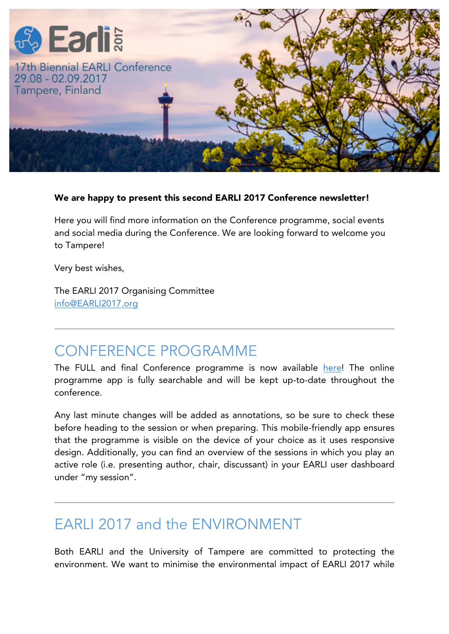

#### We are happy to present this second EARLI 2017 Conference newsletter!

Here you will find more information on the Conference programme, social events and social media during the Conference. We are looking forward to welcome you to Tampere!

Very best wishes,

The EARLI 2017 Organising Committee info@EARLI2017.org

### CONFERENCE PROGRAMME

The FULL and final Conference programme is now available here! The online programme app is fully searchable and will be kept up-to-date throughout the conference.

Any last minute changes will be added as annotations, so be sure to check these before heading to the session or when preparing. This mobile-friendly app ensures that the programme is visible on the device of your choice as it uses responsive design. Additionally, you can find an overview of the sessions in which you play an active role (i.e. presenting author, chair, discussant) in your EARLI user dashboard under "my session".

### EARLI 2017 and the ENVIRONMENT

Both EARLI and the University of Tampere are committed to protecting the environment. We want to minimise the environmental impact of EARLI 2017 while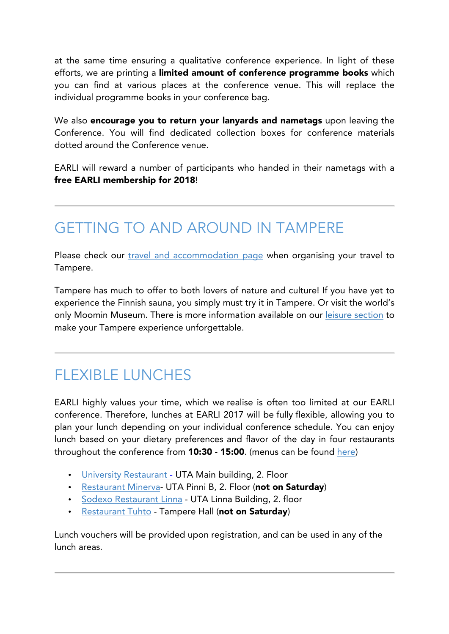at the same time ensuring a qualitative conference experience. In light of these efforts, we are printing a limited amount of conference programme books which you can find at various places at the conference venue. This will replace the individual programme books in your conference bag.

We also encourage you to return your lanyards and nametags upon leaving the Conference. You will find dedicated collection boxes for conference materials dotted around the Conference venue.

EARLI will reward a number of participants who handed in their nametags with a free EARLI membership for 2018!

# GETTING TO AND AROUND IN TAMPERE

Please check our travel and accommodation page when organising your travel to Tampere.

Tampere has much to offer to both lovers of nature and culture! If you have yet to experience the Finnish sauna, you simply must try it in Tampere. Or visit the world's only Moomin Museum. There is more information available on our leisure section to make your Tampere experience unforgettable.

# FLEXIBLE LUNCHES

EARLI highly values your time, which we realise is often too limited at our EARLI conference. Therefore, lunches at EARLI 2017 will be fully flexible, allowing you to plan your lunch depending on your individual conference schedule. You can enjoy lunch based on your dietary preferences and flavor of the day in four restaurants throughout the conference from **10:30 - 15:00**. (menus can be found here)

- University Restaurant UTA Main building, 2. Floor
- Restaurant Minerva- UTA Pinni B, 2. Floor (not on Saturday)
- Sodexo Restaurant Linna UTA Linna Building, 2. floor
- Restaurant Tuhto Tampere Hall (not on Saturday)

Lunch vouchers will be provided upon registration, and can be used in any of the lunch areas.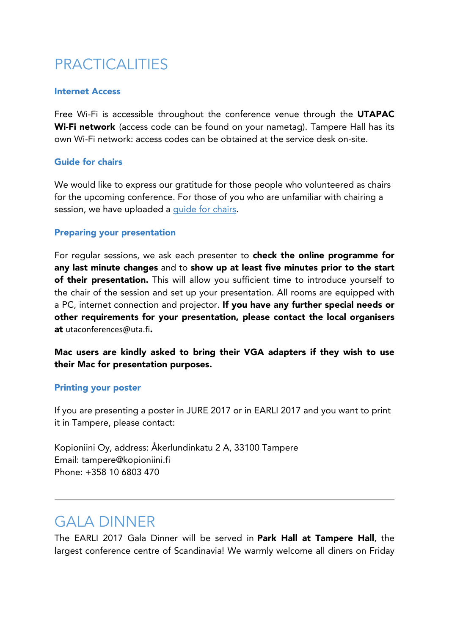# PRACTICALITIES

#### Internet Access

Free Wi-Fi is accessible throughout the conference venue through the UTAPAC Wi-Fi network (access code can be found on your nametag). Tampere Hall has its own Wi-Fi network: access codes can be obtained at the service desk on-site.

#### Guide for chairs

We would like to express our gratitude for those people who volunteered as chairs for the upcoming conference. For those of you who are unfamiliar with chairing a session, we have uploaded a quide for chairs.

#### Preparing your presentation

For regular sessions, we ask each presenter to check the online programme for any last minute changes and to show up at least five minutes prior to the start of their presentation. This will allow you sufficient time to introduce yourself to the chair of the session and set up your presentation. All rooms are equipped with a PC, internet connection and projector. If you have any further special needs or other requirements for your presentation, please contact the local organisers at utaconferences@uta.fi.

Mac users are kindly asked to bring their VGA adapters if they wish to use their Mac for presentation purposes.

#### Printing your poster

If you are presenting a poster in JURE 2017 or in EARLI 2017 and you want to print it in Tampere, please contact:

Kopioniini Oy, address: Åkerlundinkatu 2 A, 33100 Tampere Email: tampere@kopioniini.fi Phone: +358 10 6803 470

### GALA DINNER

The EARLI 2017 Gala Dinner will be served in Park Hall at Tampere Hall, the largest conference centre of Scandinavia! We warmly welcome all diners on Friday